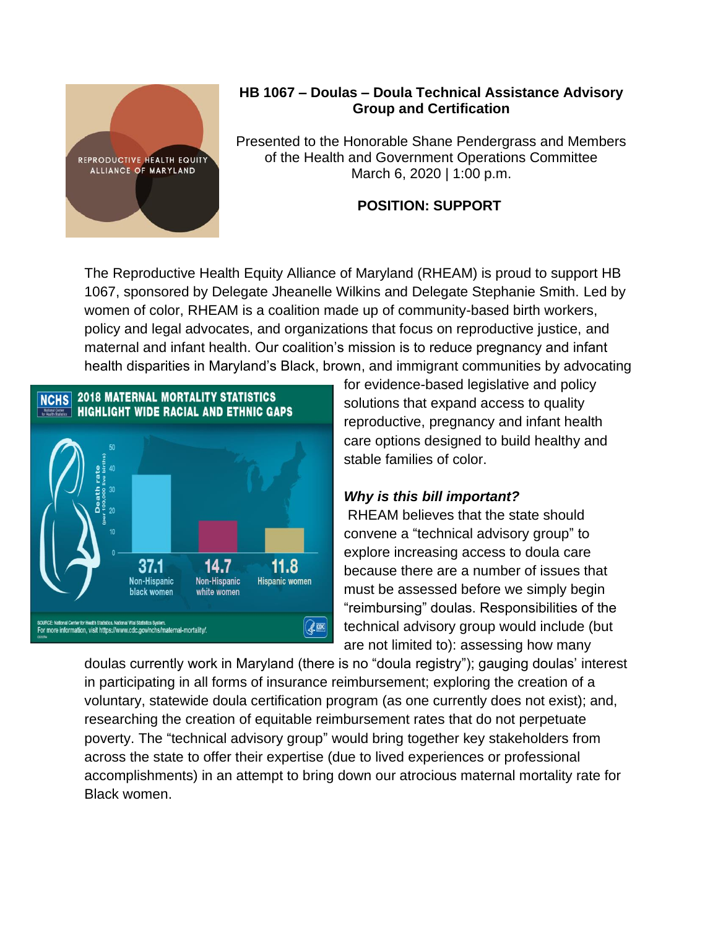

## **HB 1067 – Doulas – Doula Technical Assistance Advisory Group and Certification**

Presented to the Honorable Shane Pendergrass and Members of the Health and Government Operations Committee March 6, 2020 | 1:00 p.m.

## **POSITION: SUPPORT**

The Reproductive Health Equity Alliance of Maryland (RHEAM) is proud to support HB 1067, sponsored by Delegate Jheanelle Wilkins and Delegate Stephanie Smith. Led by women of color, RHEAM is a coalition made up of community-based birth workers, policy and legal advocates, and organizations that focus on reproductive justice, and maternal and infant health. Our coalition's mission is to reduce pregnancy and infant health disparities in Maryland's Black, brown, and immigrant communities by advocating



for evidence-based legislative and policy solutions that expand access to quality reproductive, pregnancy and infant health care options designed to build healthy and stable families of color.

## *Why is this bill important?*

RHEAM believes that the state should convene a "technical advisory group" to explore increasing access to doula care because there are a number of issues that must be assessed before we simply begin "reimbursing" doulas. Responsibilities of the technical advisory group would include (but are not limited to): assessing how many

doulas currently work in Maryland (there is no "doula registry"); gauging doulas' interest in participating in all forms of insurance reimbursement; exploring the creation of a voluntary, statewide doula certification program (as one currently does not exist); and, researching the creation of equitable reimbursement rates that do not perpetuate poverty. The "technical advisory group" would bring together key stakeholders from across the state to offer their expertise (due to lived experiences or professional accomplishments) in an attempt to bring down our atrocious maternal mortality rate for Black women.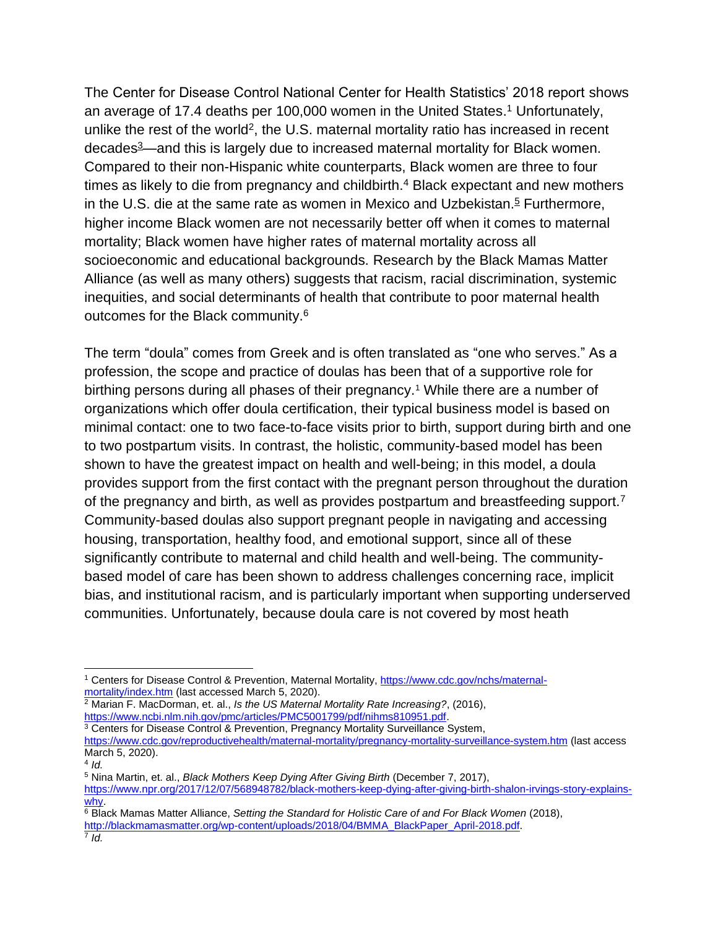The Center for Disease Control National Center for Health Statistics' 2018 report shows an average of 17.4 deaths per 100,000 women in the United States. <sup>1</sup> Unfortunately, unlike the rest of the world<sup>2</sup>, the U.S. maternal mortality ratio has increased in recent decades<sup>3</sup>—and this is largely due to increased maternal mortality for Black women. Compared to their non-Hispanic white counterparts, Black women are three to four times as likely to die from pregnancy and childbirth.<sup>4</sup> Black expectant and new mothers in the U.S. die at the same rate as women in Mexico and Uzbekistan.<sup>5</sup> Furthermore, higher income Black women are not necessarily better off when it comes to maternal mortality; Black women have higher rates of maternal mortality across all socioeconomic and educational backgrounds. Research by the Black Mamas Matter Alliance (as well as many others) suggests that racism, racial discrimination, systemic inequities, and social determinants of health that contribute to poor maternal health outcomes for the Black community.<sup>6</sup>

The term "doula" comes from Greek and is often translated as "one who serves." As a profession, the scope and practice of doulas has been that of a supportive role for birthing persons during all phases of their pregnancy.<sup>1</sup> While there are a number of organizations which offer doula certification, their typical business model is based on minimal contact: one to two face-to-face visits prior to birth, support during birth and one to two postpartum visits. In contrast, the holistic, community-based model has been shown to have the greatest impact on health and well-being; in this model, a doula provides support from the first contact with the pregnant person throughout the duration of the pregnancy and birth, as well as provides postpartum and breastfeeding support.<sup>7</sup> Community-based doulas also support pregnant people in navigating and accessing housing, transportation, healthy food, and emotional support, since all of these significantly contribute to maternal and child health and well-being. The communitybased model of care has been shown to address challenges concerning race, implicit bias, and institutional racism, and is particularly important when supporting underserved communities. Unfortunately, because doula care is not covered by most heath

<sup>1</sup> Centers for Disease Control & Prevention, Maternal Mortality, [https://www.cdc.gov/nchs/maternal](https://www.cdc.gov/nchs/maternal-mortality/index.htm)[mortality/index.htm](https://www.cdc.gov/nchs/maternal-mortality/index.htm) (last accessed March 5, 2020).

<sup>2</sup> Marian F. MacDorman, et. al., *Is the US Maternal Mortality Rate Increasing?*, (2016), [https://www.ncbi.nlm.nih.gov/pmc/articles/PMC5001799/pdf/nihms810951.pdf.](https://www.ncbi.nlm.nih.gov/pmc/articles/PMC5001799/pdf/nihms810951.pdf)

<sup>&</sup>lt;sup>3</sup> Centers for Disease Control & Prevention, Pregnancy Mortality Surveillance System, <https://www.cdc.gov/reproductivehealth/maternal-mortality/pregnancy-mortality-surveillance-system.htm> (last access March 5, 2020).

<sup>4</sup> *Id.*

<sup>5</sup> Nina Martin, et. al., *Black Mothers Keep Dying After Giving Birth* (December 7, 2017),

[https://www.npr.org/2017/12/07/568948782/black-mothers-keep-dying-after-giving-birth-shalon-irvings-story-explains](https://www.npr.org/2017/12/07/568948782/black-mothers-keep-dying-after-giving-birth-shalon-irvings-story-explains-why)[why.](https://www.npr.org/2017/12/07/568948782/black-mothers-keep-dying-after-giving-birth-shalon-irvings-story-explains-why)

<sup>6</sup> Black Mamas Matter Alliance, *Setting the Standard for Holistic Care of and For Black Women* (2018),

[http://blackmamasmatter.org/wp-content/uploads/2018/04/BMMA\\_BlackPaper\\_April-2018.pdf.](http://blackmamasmatter.org/wp-content/uploads/2018/04/BMMA_BlackPaper_April-2018.pdf)

<sup>7</sup> *Id.*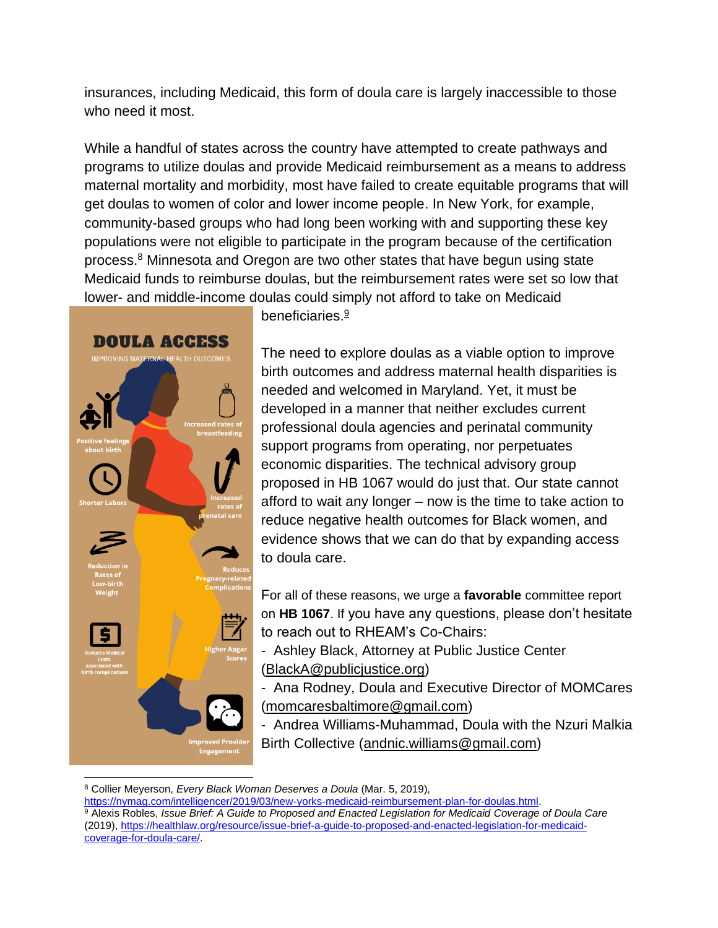insurances, including Medicaid, this form of doula care is largely inaccessible to those who need it most.

While a handful of states across the country have attempted to create pathways and programs to utilize doulas and provide Medicaid reimbursement as a means to address maternal mortality and morbidity, most have failed to create equitable programs that will get doulas to women of color and lower income people. In New York, for example, community-based groups who had long been working with and supporting these key populations were not eligible to participate in the program because of the certification process.<sup>8</sup> Minnesota and Oregon are two other states that have begun using state Medicaid funds to reimburse doulas, but the reimbursement rates were set so low that lower- and middle-income doulas could simply not afford to take on Medicaid



beneficiaries.<sup>9</sup>

The need to explore doulas as a viable option to improve birth outcomes and address maternal health disparities is needed and welcomed in Maryland. Yet, it must be developed in a manner that neither excludes current professional doula agencies and perinatal community support programs from operating, nor perpetuates economic disparities. The technical advisory group proposed in HB 1067 would do just that. Our state cannot afford to wait any longer – now is the time to take action to reduce negative health outcomes for Black women, and evidence shows that we can do that by expanding access to doula care.

For all of these reasons, we urge a **favorable** committee report on **HB 1067**. If you have any questions, please don't hesitate to reach out to RHEAM's Co-Chairs:

- Ashley Black, Attorney at Public Justice Center [\(BlackA@publicjustice.org\)](mailto:BlackA@publicjustice.org)

- Ana Rodney, Doula and Executive Director of MOMCares [\(momcaresbaltimore@gmail.com\)](mailto:momcaresbaltimore@gmail.com)

- Andrea Williams-Muhammad, Doula with the Nzuri Malkia Birth Collective [\(andnic.williams@gmail.com\)](mailto:andnic.williams@gmail.com)

<sup>8</sup> Collier Meyerson, *Every Black Woman Deserves a Doula* (Mar. 5, 2019),

[https://nymag.com/intelligencer/2019/03/new-yorks-medicaid-reimbursement-plan-for-doulas.html.](https://nymag.com/intelligencer/2019/03/new-yorks-medicaid-reimbursement-plan-for-doulas.html)

<sup>9</sup> Alexis Robles, *Issue Brief: A Guide to Proposed and Enacted Legislation for Medicaid Coverage of Doula Care*  (2019), [https://healthlaw.org/resource/issue-brief-a-guide-to-proposed-and-enacted-legislation-for-medicaid](https://healthlaw.org/resource/issue-brief-a-guide-to-proposed-and-enacted-legislation-for-medicaid-coverage-for-doula-care/)[coverage-for-doula-care/.](https://healthlaw.org/resource/issue-brief-a-guide-to-proposed-and-enacted-legislation-for-medicaid-coverage-for-doula-care/)